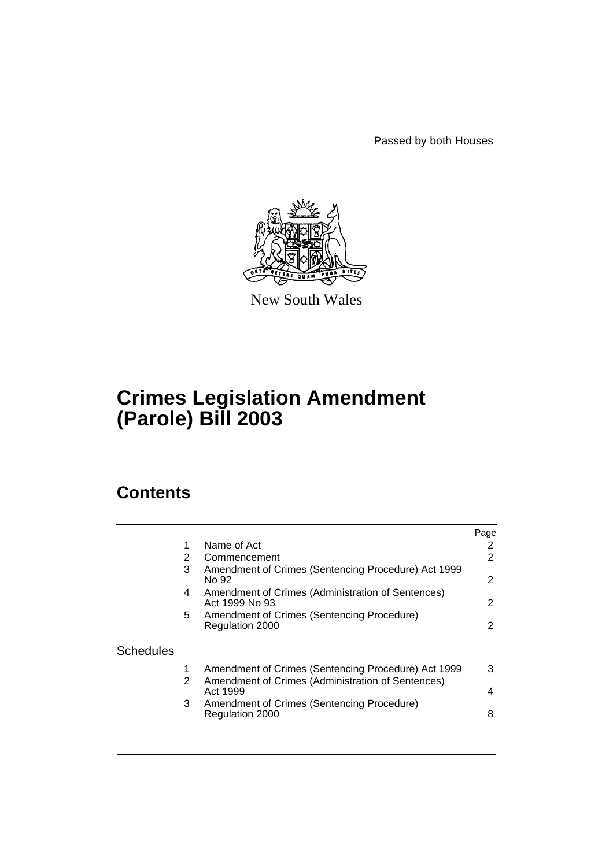Passed by both Houses



New South Wales

# **Crimes Legislation Amendment (Parole) Bill 2003**

# **Contents**

|           |    |                                                                     | Page |
|-----------|----|---------------------------------------------------------------------|------|
|           | 1  | Name of Act                                                         | 2    |
|           | 2  | Commencement                                                        | 2    |
|           | 3  | Amendment of Crimes (Sentencing Procedure) Act 1999<br>No 92        | 2    |
|           | 4  | Amendment of Crimes (Administration of Sentences)<br>Act 1999 No 93 | 2    |
|           | 5. | Amendment of Crimes (Sentencing Procedure)                          |      |
|           |    | Regulation 2000                                                     | 2    |
| Schedules |    |                                                                     |      |
|           |    | Amendment of Crimes (Sentencing Procedure) Act 1999                 | 3    |
|           | 2  | Amendment of Crimes (Administration of Sentences)<br>Act 1999       | 4    |
|           | 3  | Amendment of Crimes (Sentencing Procedure)<br>Regulation 2000       | 8    |
|           |    |                                                                     |      |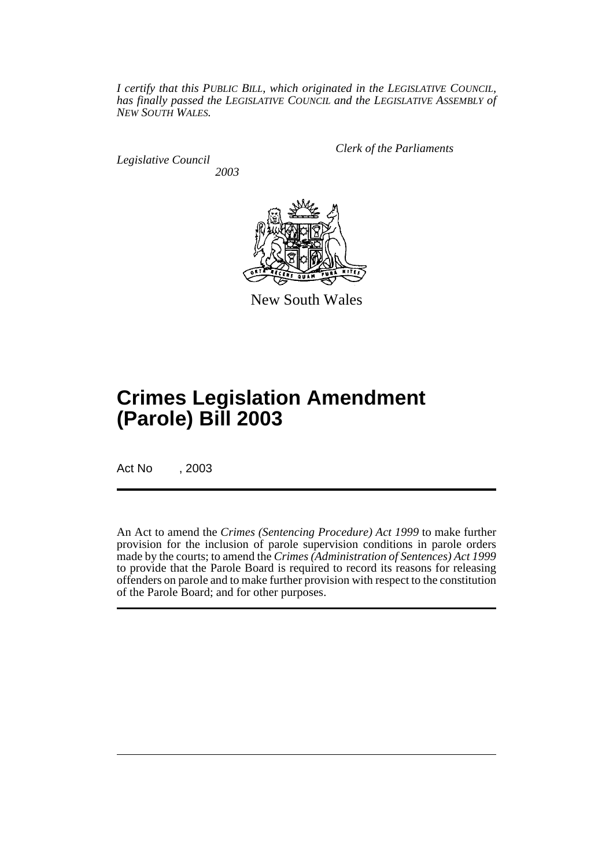*I certify that this PUBLIC BILL, which originated in the LEGISLATIVE COUNCIL, has finally passed the LEGISLATIVE COUNCIL and the LEGISLATIVE ASSEMBLY of NEW SOUTH WALES.*

*Legislative Council 2003* *Clerk of the Parliaments*



New South Wales

# **Crimes Legislation Amendment (Parole) Bill 2003**

Act No , 2003

An Act to amend the *Crimes (Sentencing Procedure) Act 1999* to make further provision for the inclusion of parole supervision conditions in parole orders made by the courts; to amend the *Crimes (Administration of Sentences) Act 1999* to provide that the Parole Board is required to record its reasons for releasing offenders on parole and to make further provision with respect to the constitution of the Parole Board; and for other purposes.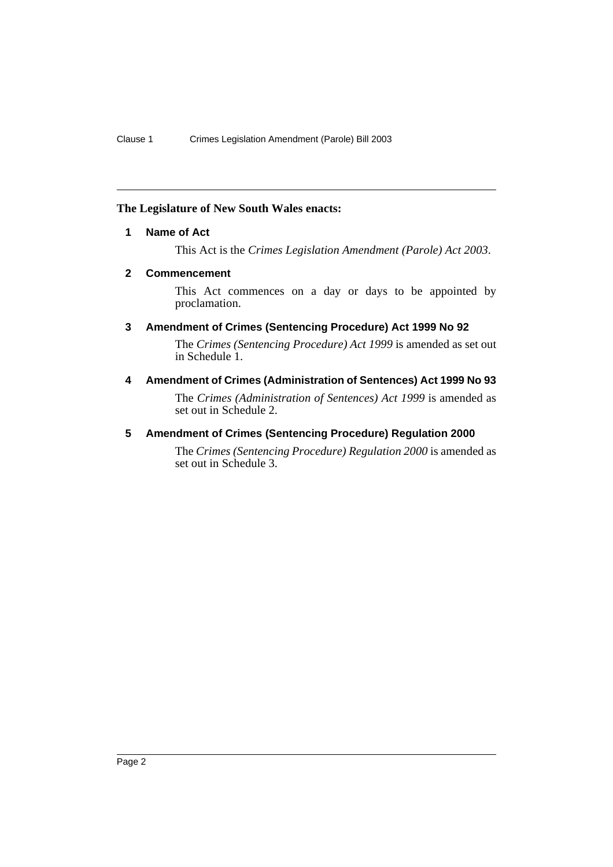#### <span id="page-2-0"></span>**The Legislature of New South Wales enacts:**

## **1 Name of Act**

This Act is the *Crimes Legislation Amendment (Parole) Act 2003*.

## <span id="page-2-1"></span>**2 Commencement**

This Act commences on a day or days to be appointed by proclamation.

## <span id="page-2-2"></span>**3 Amendment of Crimes (Sentencing Procedure) Act 1999 No 92**

The *Crimes (Sentencing Procedure) Act 1999* is amended as set out in Schedule 1.

## <span id="page-2-3"></span>**4 Amendment of Crimes (Administration of Sentences) Act 1999 No 93**

The *Crimes (Administration of Sentences) Act 1999* is amended as set out in Schedule 2.

## <span id="page-2-4"></span>**5 Amendment of Crimes (Sentencing Procedure) Regulation 2000**

The *Crimes (Sentencing Procedure) Regulation 2000* is amended as set out in Schedule 3.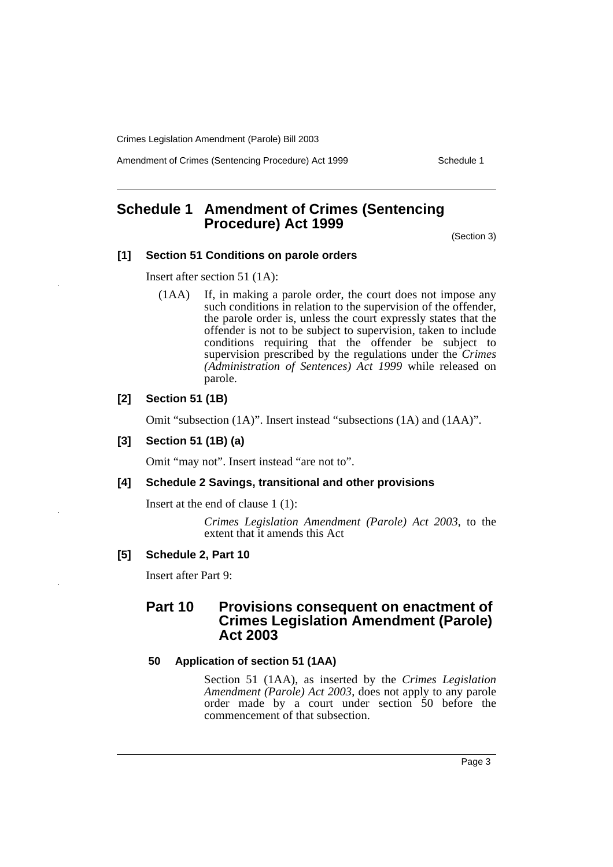Amendment of Crimes (Sentencing Procedure) Act 1999 Schedule 1

# <span id="page-3-0"></span>**Schedule 1 Amendment of Crimes (Sentencing Procedure) Act 1999**

(Section 3)

## **[1] Section 51 Conditions on parole orders**

Insert after section 51 (1A):

(1AA) If, in making a parole order, the court does not impose any such conditions in relation to the supervision of the offender, the parole order is, unless the court expressly states that the offender is not to be subject to supervision, taken to include conditions requiring that the offender be subject to supervision prescribed by the regulations under the *Crimes (Administration of Sentences) Act 1999* while released on parole.

#### **[2] Section 51 (1B)**

Omit "subsection (1A)". Insert instead "subsections (1A) and (1AA)".

#### **[3] Section 51 (1B) (a)**

Omit "may not". Insert instead "are not to".

#### **[4] Schedule 2 Savings, transitional and other provisions**

Insert at the end of clause 1 (1):

*Crimes Legislation Amendment (Parole) Act 2003*, to the extent that it amends this Act

#### **[5] Schedule 2, Part 10**

Insert after Part 9:

# **Part 10 Provisions consequent on enactment of Crimes Legislation Amendment (Parole) Act 2003**

#### **50 Application of section 51 (1AA)**

Section 51 (1AA), as inserted by the *Crimes Legislation Amendment (Parole) Act 2003*, does not apply to any parole order made by a court under section 50 before the commencement of that subsection.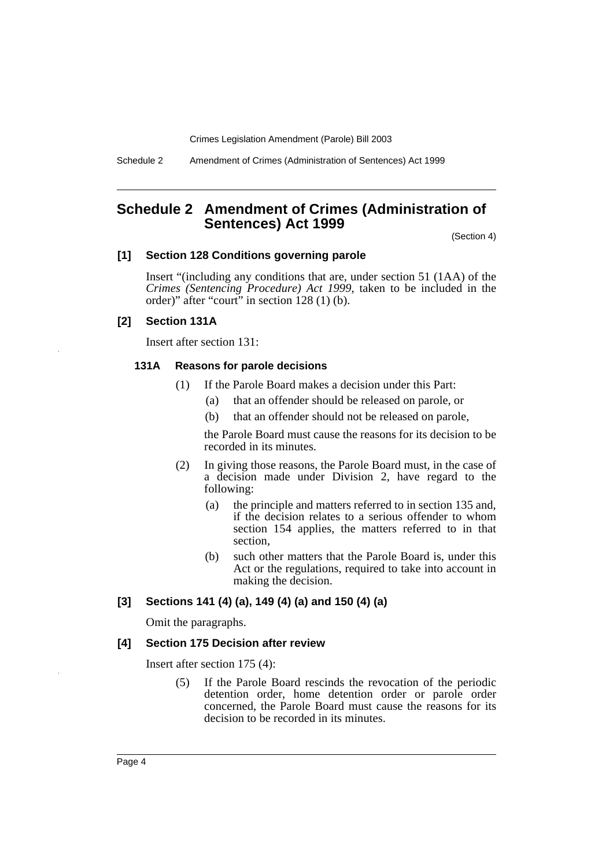Schedule 2 Amendment of Crimes (Administration of Sentences) Act 1999

# <span id="page-4-0"></span>**Schedule 2 Amendment of Crimes (Administration of Sentences) Act 1999**

(Section 4)

#### **[1] Section 128 Conditions governing parole**

Insert "(including any conditions that are, under section 51 (1AA) of the *Crimes (Sentencing Procedure) Act 1999*, taken to be included in the order)" after "court" in section 128 (1) (b).

#### **[2] Section 131A**

Insert after section 131:

#### **131A Reasons for parole decisions**

- (1) If the Parole Board makes a decision under this Part:
	- (a) that an offender should be released on parole, or
	- (b) that an offender should not be released on parole,

the Parole Board must cause the reasons for its decision to be recorded in its minutes.

- (2) In giving those reasons, the Parole Board must, in the case of a decision made under Division 2, have regard to the following:
	- (a) the principle and matters referred to in section 135 and, if the decision relates to a serious offender to whom section 154 applies, the matters referred to in that section,
	- (b) such other matters that the Parole Board is, under this Act or the regulations, required to take into account in making the decision.

#### **[3] Sections 141 (4) (a), 149 (4) (a) and 150 (4) (a)**

Omit the paragraphs.

#### **[4] Section 175 Decision after review**

Insert after section 175 (4):

(5) If the Parole Board rescinds the revocation of the periodic detention order, home detention order or parole order concerned, the Parole Board must cause the reasons for its decision to be recorded in its minutes.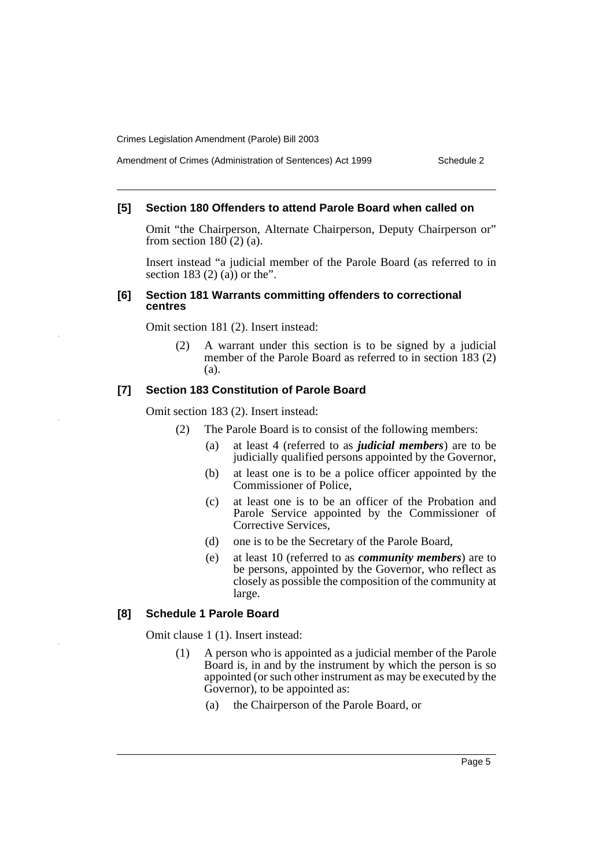#### Amendment of Crimes (Administration of Sentences) Act 1999 Schedule 2

## **[5] Section 180 Offenders to attend Parole Board when called on**

Omit "the Chairperson, Alternate Chairperson, Deputy Chairperson or" from section  $180(2)$  (a).

Insert instead "a judicial member of the Parole Board (as referred to in section 183 $(2)$  $(\overline{a})$  or the".

#### **[6] Section 181 Warrants committing offenders to correctional centres**

Omit section 181 (2). Insert instead:

(2) A warrant under this section is to be signed by a judicial member of the Parole Board as referred to in section 183 (2) (a).

#### **[7] Section 183 Constitution of Parole Board**

Omit section 183 (2). Insert instead:

- (2) The Parole Board is to consist of the following members:
	- (a) at least 4 (referred to as *judicial members*) are to be judicially qualified persons appointed by the Governor,
	- (b) at least one is to be a police officer appointed by the Commissioner of Police,
	- (c) at least one is to be an officer of the Probation and Parole Service appointed by the Commissioner of Corrective Services,
	- (d) one is to be the Secretary of the Parole Board,
	- (e) at least 10 (referred to as *community members*) are to be persons, appointed by the Governor, who reflect as closely as possible the composition of the community at large.

#### **[8] Schedule 1 Parole Board**

Omit clause 1 (1). Insert instead:

- (1) A person who is appointed as a judicial member of the Parole Board is, in and by the instrument by which the person is so appointed (or such other instrument as may be executed by the Governor), to be appointed as:
	- (a) the Chairperson of the Parole Board, or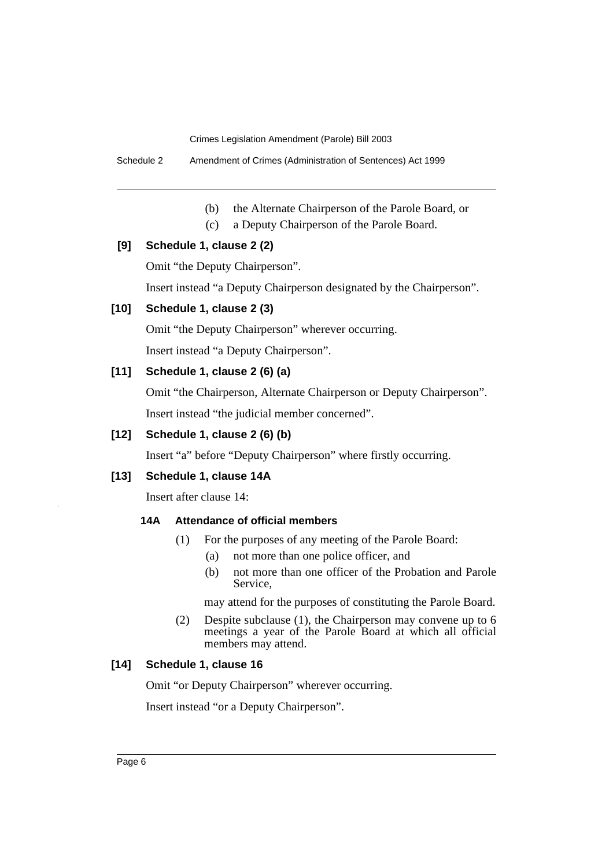Schedule 2 Amendment of Crimes (Administration of Sentences) Act 1999

- (b) the Alternate Chairperson of the Parole Board, or
- (c) a Deputy Chairperson of the Parole Board.

#### **[9] Schedule 1, clause 2 (2)**

Omit "the Deputy Chairperson".

Insert instead "a Deputy Chairperson designated by the Chairperson".

# **[10] Schedule 1, clause 2 (3)**

Omit "the Deputy Chairperson" wherever occurring.

Insert instead "a Deputy Chairperson".

## **[11] Schedule 1, clause 2 (6) (a)**

Omit "the Chairperson, Alternate Chairperson or Deputy Chairperson".

Insert instead "the judicial member concerned".

## **[12] Schedule 1, clause 2 (6) (b)**

Insert "a" before "Deputy Chairperson" where firstly occurring.

#### **[13] Schedule 1, clause 14A**

Insert after clause 14:

## **14A Attendance of official members**

- (1) For the purposes of any meeting of the Parole Board:
	- (a) not more than one police officer, and
	- (b) not more than one officer of the Probation and Parole Service,

may attend for the purposes of constituting the Parole Board.

(2) Despite subclause (1), the Chairperson may convene up to 6 meetings a year of the Parole Board at which all official members may attend.

## **[14] Schedule 1, clause 16**

Omit "or Deputy Chairperson" wherever occurring.

Insert instead "or a Deputy Chairperson".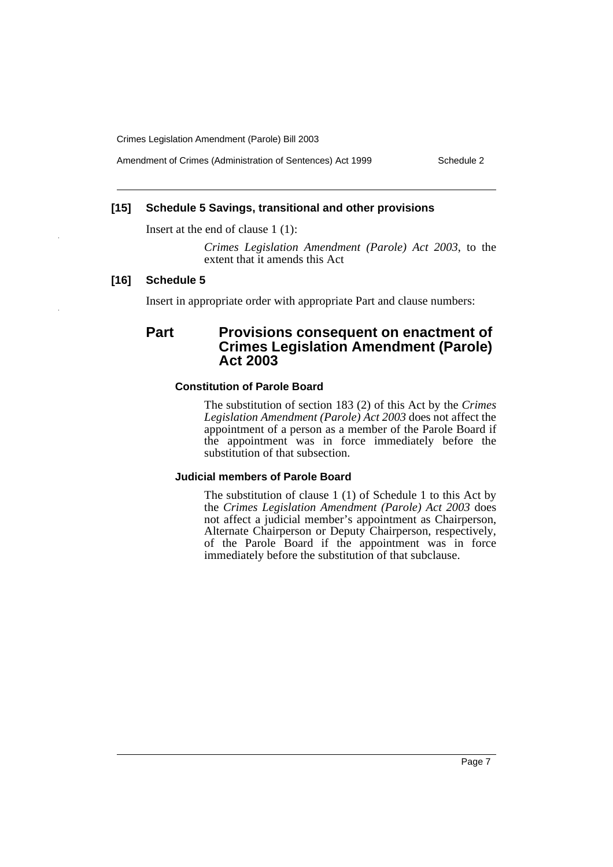Amendment of Crimes (Administration of Sentences) Act 1999 Schedule 2

## **[15] Schedule 5 Savings, transitional and other provisions**

Insert at the end of clause 1 (1):

*Crimes Legislation Amendment (Parole) Act 2003*, to the extent that it amends this Act

#### **[16] Schedule 5**

Insert in appropriate order with appropriate Part and clause numbers:

# **Part Provisions consequent on enactment of Crimes Legislation Amendment (Parole) Act 2003**

#### **Constitution of Parole Board**

The substitution of section 183 (2) of this Act by the *Crimes Legislation Amendment (Parole) Act 2003* does not affect the appointment of a person as a member of the Parole Board if the appointment was in force immediately before the substitution of that subsection.

#### **Judicial members of Parole Board**

The substitution of clause 1 (1) of Schedule 1 to this Act by the *Crimes Legislation Amendment (Parole) Act 2003* does not affect a judicial member's appointment as Chairperson, Alternate Chairperson or Deputy Chairperson, respectively, of the Parole Board if the appointment was in force immediately before the substitution of that subclause.